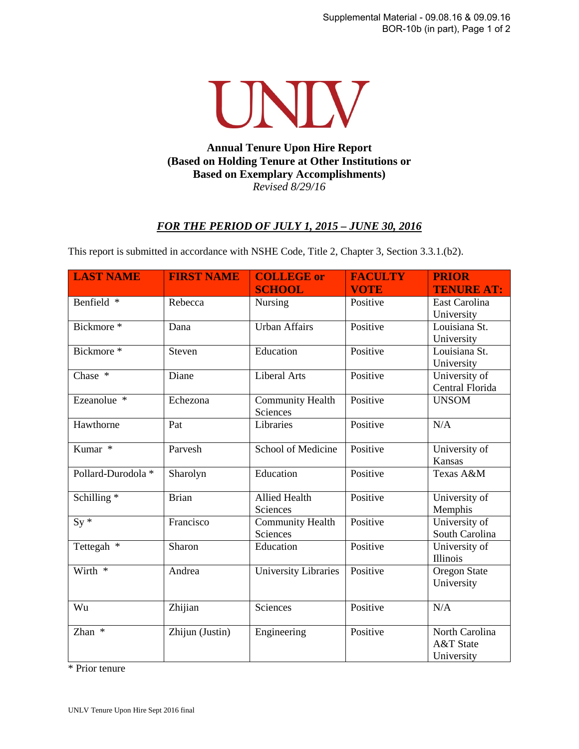

## **Annual Tenure Upon Hire Report (Based on Holding Tenure at Other Institutions or Based on Exemplary Accomplishments)**  *Revised 8/29/16*

## *FOR THE PERIOD OF JULY 1, 2015 – JUNE 30, 2016*

This report is submitted in accordance with NSHE Code, Title 2, Chapter 3, Section 3.3.1.(b2).

| <b>LAST NAME</b>       | <b>FIRST NAME</b> | <b>COLLEGE or</b>                   | <b>FACULTY</b> | <b>PRIOR</b>                              |
|------------------------|-------------------|-------------------------------------|----------------|-------------------------------------------|
|                        |                   | <b>SCHOOL</b>                       | <b>VOTE</b>    | <b>TENURE AT:</b>                         |
| Benfield *             | Rebecca           | Nursing                             | Positive       | East Carolina<br>University               |
| Bickmore *             | Dana              | Urban Affairs                       | Positive       | Louisiana St.<br>University               |
| Bickmore *             | Steven            | Education                           | Positive       | Louisiana St.<br>University               |
| Chase *                | Diane             | <b>Liberal Arts</b>                 | Positive       | University of<br>Central Florida          |
| Ezeanolue <sup>*</sup> | Echezona          | <b>Community Health</b><br>Sciences | Positive       | <b>UNSOM</b>                              |
| Hawthorne              | Pat               | Libraries                           | Positive       | N/A                                       |
| Kumar *                | Parvesh           | School of Medicine                  | Positive       | University of<br>Kansas                   |
| Pollard-Durodola *     | Sharolyn          | Education                           | Positive       | Texas A&M                                 |
| Schilling <sup>*</sup> | <b>Brian</b>      | <b>Allied Health</b><br>Sciences    | Positive       | University of<br>Memphis                  |
| $Sy*$                  | Francisco         | <b>Community Health</b><br>Sciences | Positive       | University of<br>South Carolina           |
| Tettegah *             | Sharon            | Education                           | Positive       | University of<br>Illinois                 |
| Wirth *                | Andrea            | <b>University Libraries</b>         | Positive       | Oregon State<br>University                |
| Wu                     | Zhijian           | Sciences                            | Positive       | N/A                                       |
| Zhan *                 | Zhijun (Justin)   | Engineering                         | Positive       | North Carolina<br>A&T State<br>University |

\* Prior tenure